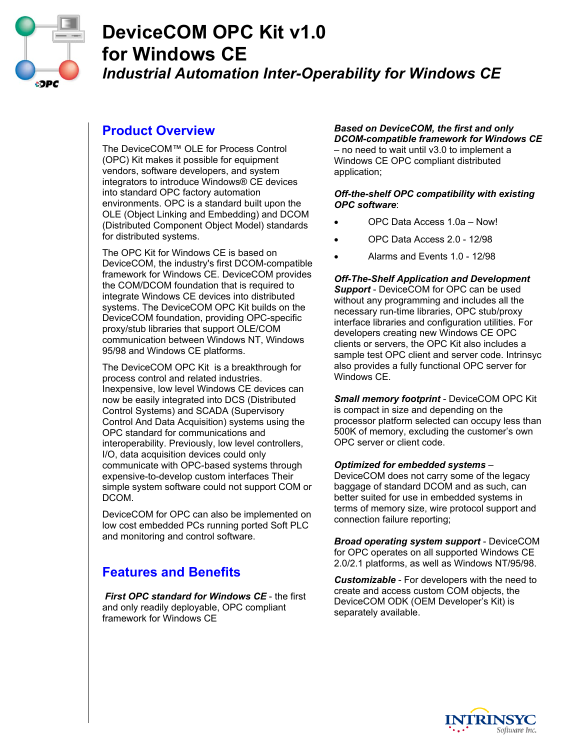

# **DeviceCOM OPC Kit v1.0 for Windows CE**  *Industrial Automation Inter-Operability for Windows CE*

## **Product Overview**

The DeviceCOM™ OLE for Process Control (OPC) Kit makes it possible for equipment vendors, software developers, and system integrators to introduce Windows® CE devices into standard OPC factory automation environments. OPC is a standard built upon the OLE (Object Linking and Embedding) and DCOM (Distributed Component Object Model) standards for distributed systems.

The OPC Kit for Windows CE is based on DeviceCOM, the industry's first DCOM-compatible framework for Windows CE. DeviceCOM provides the COM/DCOM foundation that is required to integrate Windows CE devices into distributed systems. The DeviceCOM OPC Kit builds on the DeviceCOM foundation, providing OPC-specific proxy/stub libraries that support OLE/COM communication between Windows NT, Windows 95/98 and Windows CE platforms.

The DeviceCOM OPC Kit is a breakthrough for process control and related industries. Inexpensive, low level Windows CE devices can now be easily integrated into DCS (Distributed Control Systems) and SCADA (Supervisory Control And Data Acquisition) systems using the OPC standard for communications and interoperability. Previously, low level controllers, I/O, data acquisition devices could only communicate with OPC-based systems through expensive-to-develop custom interfaces Their simple system software could not support COM or DCOM.

DeviceCOM for OPC can also be implemented on low cost embedded PCs running ported Soft PLC and monitoring and control software.

# **Features and Benefits**

 *First OPC standard for Windows CE* - the first and only readily deployable, OPC compliant framework for Windows CE

#### *Based on DeviceCOM, the first and only DCOM-compatible framework for Windows CE*  – no need to wait until v3.0 to implement a

Windows CE OPC compliant distributed application;

#### *Off-the-shelf OPC compatibility with existing OPC software*:

- OPC Data Access 1.0a Now!
- OPC Data Access 2.0 12/98
- Alarms and Events 1.0 12/98

*Off-The-Shelf Application and Development Support* - DeviceCOM for OPC can be used without any programming and includes all the necessary run-time libraries, OPC stub/proxy interface libraries and configuration utilities. For developers creating new Windows CE OPC clients or servers, the OPC Kit also includes a sample test OPC client and server code. Intrinsyc also provides a fully functional OPC server for Windows CE.

*Small memory footprint* - DeviceCOM OPC Kit is compact in size and depending on the processor platform selected can occupy less than 500K of memory, excluding the customer's own OPC server or client code.

#### *Optimized for embedded systems* –

DeviceCOM does not carry some of the legacy baggage of standard DCOM and as such, can better suited for use in embedded systems in terms of memory size, wire protocol support and connection failure reporting;

*Broad operating system support* - DeviceCOM for OPC operates on all supported Windows CE 2.0/2.1 platforms, as well as Windows NT/95/98.

*Customizable* - For developers with the need to create and access custom COM objects, the DeviceCOM ODK (OEM Developer's Kit) is separately available.